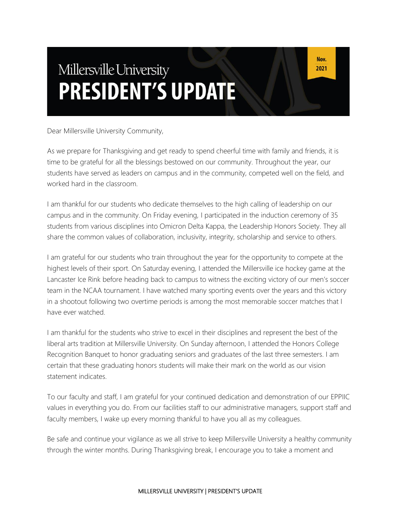# Millersville University **PRESIDENT'S UPDATE**

Dear Millersville University Community,

As we prepare for Thanksgiving and get ready to spend cheerful time with family and friends, it is time to be grateful for all the blessings bestowed on our community. Throughout the year, our students have served as leaders on campus and in the community, competed well on the field, and worked hard in the classroom.

I am thankful for our students who dedicate themselves to the high calling of leadership on our campus and in the community. On Friday evening, I participated in the induction ceremony of 35 students from various disciplines into Omicron Delta Kappa, the Leadership Honors Society. They all share the common values of collaboration, inclusivity, integrity, scholarship and service to others.

I am grateful for our students who train throughout the year for the opportunity to compete at the highest levels of their sport. On Saturday evening, I attended the Millersville ice hockey game at the Lancaster Ice Rink before heading back to campus to witness the exciting victory of our men's soccer team in the NCAA tournament. I have watched many sporting events over the years and this victory in a shootout following two overtime periods is among the most memorable soccer matches that I have ever watched.

I am thankful for the students who strive to excel in their disciplines and represent the best of the liberal arts tradition at Millersville University. On Sunday afternoon, I attended the Honors College Recognition Banquet to honor graduating seniors and graduates of the last three semesters. I am certain that these graduating honors students will make their mark on the world as our vision statement indicates.

To our faculty and staff, I am grateful for your continued dedication and demonstration of our EPPIIC values in everything you do. From our facilities staff to our administrative managers, support staff and faculty members, I wake up every morning thankful to have you all as my colleagues.

Be safe and continue your vigilance as we all strive to keep Millersville University a healthy community through the winter months. During Thanksgiving break, I encourage you to take a moment and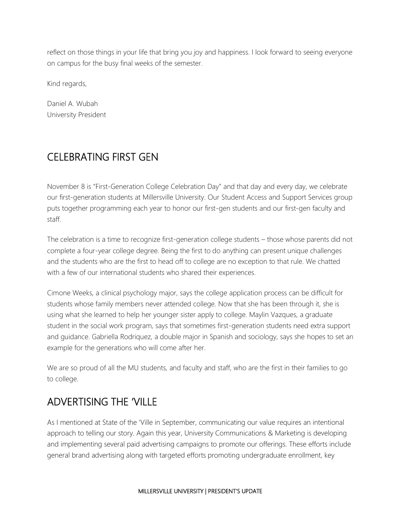reflect on those things in your life that bring you joy and happiness. I look forward to seeing everyone on campus for the busy final weeks of the semester.

Kind regards,

Daniel A. Wubah University President

### CELEBRATING FIRST GEN

November 8 is "First-Generation College Celebration Day" and that day and every day, we celebrate our first-generation students at Millersville University. Our Student Access and Support Services group puts together programming each year to honor our first-gen students and our first-gen faculty and staff.

The celebration is a time to recognize first-generation college students – those whose parents did not complete a four-year college degree. Being the first to do anything can present unique challenges and the students who are the first to head off to college are no exception to that rule. We chatted with a few of our international students who shared their experiences.

Cimone Weeks, a clinical psychology major, says the college application process can be difficult for students whose family members never attended college. Now that she has been through it, she is using what she learned to help her younger sister apply to college. Maylin Vazques, a graduate student in the social work program, says that sometimes first-generation students need extra support and guidance. Gabriella Rodriquez, a double major in Spanish and sociology, says she hopes to set an example for the generations who will come after her.

We are so proud of all the MU students, and faculty and staff, who are the first in their families to go to college.

### ADVERTISING THE 'VILLE

As I mentioned at State of the 'Ville in September, communicating our value requires an intentional approach to telling our story. Again this year, University Communications & Marketing is developing and implementing several paid advertising campaigns to promote our offerings. These efforts include general brand advertising along with targeted efforts promoting undergraduate enrollment, key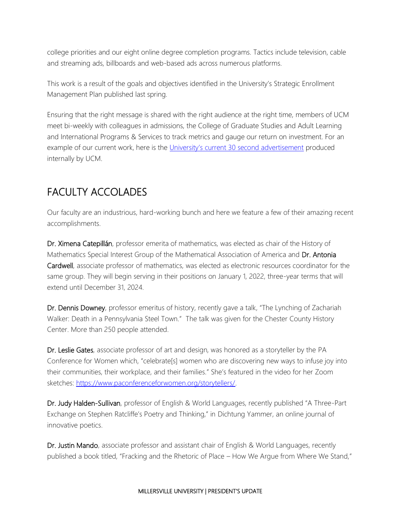college priorities and our eight online degree completion programs. Tactics include television, cable and streaming ads, billboards and web-based ads across numerous platforms.

This work is a result of the goals and objectives identified in the University's Strategic Enrollment Management Plan published last spring.

Ensuring that the right message is shared with the right audience at the right time, members of UCM meet bi-weekly with colleagues in admissions, the College of Graduate Studies and Adult Learning and International Programs & Services to track metrics and gauge our return on investment. For an example of our current work, here is the [University's current 30 second advertisement](https://www.youtube.com/watch?v=7QLXjue2l3M) produced internally by UCM.

## FACULTY ACCOLADES

Our faculty are an industrious, hard-working bunch and here we feature a few of their amazing recent accomplishments.

Dr. Ximena Catepillán, professor emerita of mathematics, was elected as chair of the History of Mathematics Special Interest Group of the Mathematical Association of America and Dr. Antonia Cardwell, associate professor of mathematics, was elected as electronic resources coordinator for the same group. They will begin serving in their positions on January 1, 2022, three-year terms that will extend until December 31, 2024.

Dr. Dennis Downey, professor emeritus of history, recently gave a talk, "The Lynching of Zachariah Walker: Death in a Pennsylvania Steel Town." The talk was given for the Chester County History Center. More than 250 people attended.

Dr. Leslie Gates, associate professor of art and design, was honored as a storyteller by the PA Conference for Women which, "celebrate[s] women who are discovering new ways to infuse joy into their communities, their workplace, and their families." She's featured in the video for her Zoom sketches: [https://www.paconferenceforwomen.org/storytellers/.](https://www.paconferenceforwomen.org/storytellers/)

Dr. Judy Halden-Sullivan, professor of English & World Languages, recently published "A Three-Part Exchange on Stephen Ratcliffe's Poetry and Thinking," in Dichtung Yammer, an online journal of innovative poetics.

Dr. Justin Mando, associate professor and assistant chair of English & World Languages, recently published a book titled, "Fracking and the Rhetoric of Place – How We Argue from Where We Stand,"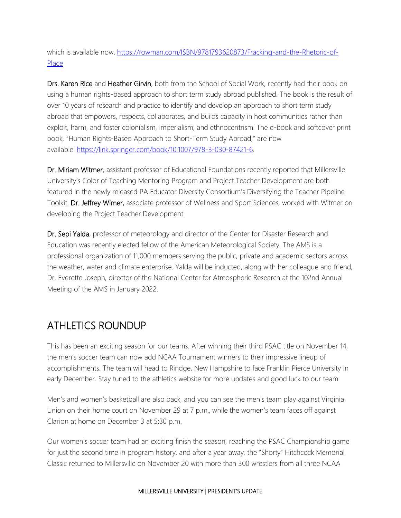which is available now. [https://rowman.com/ISBN/9781793620873/Fracking-and-the-Rhetoric-of-](https://rowman.com/ISBN/9781793620873/Fracking-and-the-Rhetoric-of-Place)[Place](https://rowman.com/ISBN/9781793620873/Fracking-and-the-Rhetoric-of-Place)

Drs. Karen Rice and Heather Girvin, both from the School of Social Work, recently had their book on using a human rights-based approach to short term study abroad published. The book is the result of over 10 years of research and practice to identify and develop an approach to short term study abroad that empowers, respects, collaborates, and builds capacity in host communities rather than exploit, harm, and foster colonialism, imperialism, and ethnocentrism. The e-book and softcover print book, "Human Rights-Based Approach to Short-Term Study Abroad," are now available. [https://link.springer.com/book/10.1007/978-3-030-87421-6.](https://link.springer.com/book/10.1007/978-3-030-87421-6)

Dr. Miriam Witmer, assistant professor of Educational Foundations recently reported that Millersville University's Color of Teaching Mentoring Program and Project Teacher Development are both featured in the newly released PA Educator Diversity Consortium's Diversifying the Teacher Pipeline Toolkit. Dr. Jeffrey Wimer, associate professor of Wellness and Sport Sciences, worked with Witmer on developing the Project Teacher Development.

Dr. Sepi Yalda, professor of meteorology and director of the Center for Disaster Research and Education was recently elected fellow of the American Meteorological Society. The AMS is a professional organization of 11,000 members serving the public, private and academic sectors across the weather, water and climate enterprise. Yalda will be inducted, along with her colleague and friend, Dr. Everette Joseph, director of the National Center for Atmospheric Research at the 102nd Annual Meeting of the AMS in January 2022.

#### ATHLETICS ROUNDUP

This has been an exciting season for our teams. After winning their third PSAC title on November 14, the men's soccer team can now add NCAA Tournament winners to their impressive lineup of accomplishments. The team will head to Rindge, New Hampshire to face Franklin Pierce University in early December. Stay tuned to the athletics website for more updates and good luck to our team.

Men's and women's basketball are also back, and you can see the men's team play against Virginia Union on their home court on November 29 at 7 p.m., while the women's team faces off against Clarion at home on December 3 at 5:30 p.m.

Our women's soccer team had an exciting finish the season, reaching the PSAC Championship game for just the second time in program history, and after a year away, the "Shorty" Hitchcock Memorial Classic returned to Millersville on November 20 with more than 300 wrestlers from all three NCAA

#### MILLERSVILLE UNIVERSITY | PRESIDENT'S UPDATE